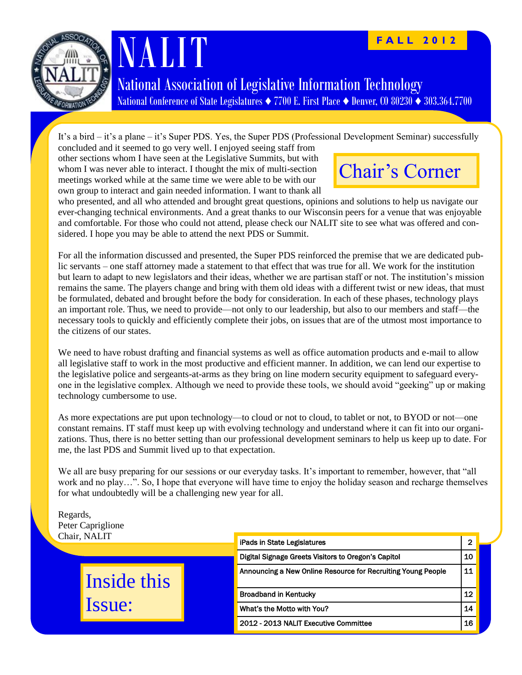

# NALIT

#### **F A L L 2 0 1 2**

National Association of Legislative Information Technology National Conference of State Legislatures *♦* 7700 E. First Place *♦* Denver, CO 80230 *♦* 303.364.7700

It's a bird – it's a plane – it's Super PDS. Yes, the Super PDS (Professional Development Seminar) successfully

concluded and it seemed to go very well. I enjoyed seeing staff from other sections whom I have seen at the Legislative Summits, but with whom I was never able to interact. I thought the mix of multi-section meetings worked while at the same time we were able to be with our own group to interact and gain needed information. I want to thank all



who presented, and all who attended and brought great questions, opinions and solutions to help us navigate our ever-changing technical environments. And a great thanks to our Wisconsin peers for a venue that was enjoyable and comfortable. For those who could not attend, please check our NALIT site to see what was offered and considered. I hope you may be able to attend the next PDS or Summit.

For all the information discussed and presented, the Super PDS reinforced the premise that we are dedicated public servants – one staff attorney made a statement to that effect that was true for all. We work for the institution but learn to adapt to new legislators and their ideas, whether we are partisan staff or not. The institution's mission remains the same. The players change and bring with them old ideas with a different twist or new ideas, that must be formulated, debated and brought before the body for consideration. In each of these phases, technology plays an important role. Thus, we need to provide—not only to our leadership, but also to our members and staff—the necessary tools to quickly and efficiently complete their jobs, on issues that are of the utmost most importance to the citizens of our states.

We need to have robust drafting and financial systems as well as office automation products and e-mail to allow all legislative staff to work in the most productive and efficient manner. In addition, we can lend our expertise to the legislative police and sergeants-at-arms as they bring on line modern security equipment to safeguard everyone in the legislative complex. Although we need to provide these tools, we should avoid "geeking" up or making technology cumbersome to use.

As more expectations are put upon technology—to cloud or not to cloud, to tablet or not, to BYOD or not—one constant remains. IT staff must keep up with evolving technology and understand where it can fit into our organizations. Thus, there is no better setting than our professional development seminars to help us keep up to date. For me, the last PDS and Summit lived up to that expectation.

We all are busy preparing for our sessions or our everyday tasks. It's important to remember, however, that "all work and no play…". So, I hope that everyone will have time to enjoy the holiday season and recharge themselves for what undoubtedly will be a challenging new year for all.

Regards, Peter Capriglione Chair, NALIT

| Chair, NALIT |  | iPads in State Legislatures                                  |    |  |
|--------------|--|--------------------------------------------------------------|----|--|
|              |  | Digital Signage Greets Visitors to Oregon's Capitol          | 10 |  |
| Inside this  |  | Announcing a New Online Resource for Recruiting Young People | 11 |  |
| Issue:       |  | <b>Broadband in Kentucky</b>                                 | 12 |  |
|              |  | What's the Motto with You?                                   | 14 |  |
|              |  | 2012 - 2013 NALIT Executive Committee                        | 16 |  |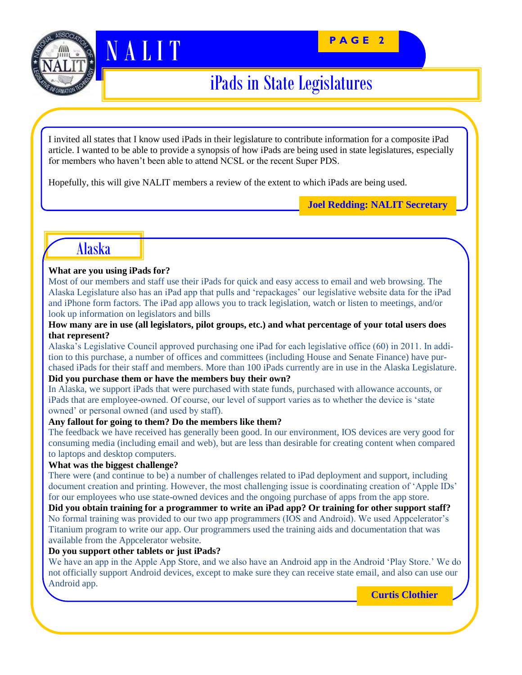#### **P A G E 2**



## iPads in State Legislatures

I invited all states that I know used iPads in their legislature to contribute information for a composite iPad article. I wanted to be able to provide a synopsis of how iPads are being used in state legislatures, especially for members who haven't been able to attend NCSL or the recent Super PDS.

Hopefully, this will give NALIT members a review of the extent to which iPads are being used.

**Joel Redding: NALIT Secretary**

### Alaska

#### **What are you using iPads for?**

N A LITT

Most of our members and staff use their iPads for quick and easy access to email and web browsing. The Alaska Legislature also has an iPad app that pulls and ‗repackages' our legislative website data for the iPad and iPhone form factors. The iPad app allows you to track legislation, watch or listen to meetings, and/or look up information on legislators and bills

#### **How many are in use (all legislators, pilot groups, etc.) and what percentage of your total users does that represent?**

Alaska's Legislative Council approved purchasing one iPad for each legislative office (60) in 2011. In addition to this purchase, a number of offices and committees (including House and Senate Finance) have purchased iPads for their staff and members. More than 100 iPads currently are in use in the Alaska Legislature. **Did you purchase them or have the members buy their own?**

In Alaska, we support iPads that were purchased with state funds, purchased with allowance accounts, or iPads that are employee-owned. Of course, our level of support varies as to whether the device is 'state owned' or personal owned (and used by staff).

#### **Any fallout for going to them? Do the members like them?**

The feedback we have received has generally been good. In our environment, IOS devices are very good for consuming media (including email and web), but are less than desirable for creating content when compared to laptops and desktop computers.

#### **What was the biggest challenge?**

There were (and continue to be) a number of challenges related to iPad deployment and support, including document creation and printing. However, the most challenging issue is coordinating creation of 'Apple IDs' for our employees who use state-owned devices and the ongoing purchase of apps from the app store.

**Did you obtain training for a programmer to write an iPad app? Or training for other support staff?** No formal training was provided to our two app programmers (IOS and Android). We used Appcelerator's Titanium program to write our app. Our programmers used the training aids and documentation that was available from the Appcelerator website.

#### **Do you support other tablets or just iPads?**

We have an app in the Apple App Store, and we also have an Android app in the Android 'Play Store.' We do not officially support Android devices, except to make sure they can receive state email, and also can use our Android app.

**Curtis Clothier**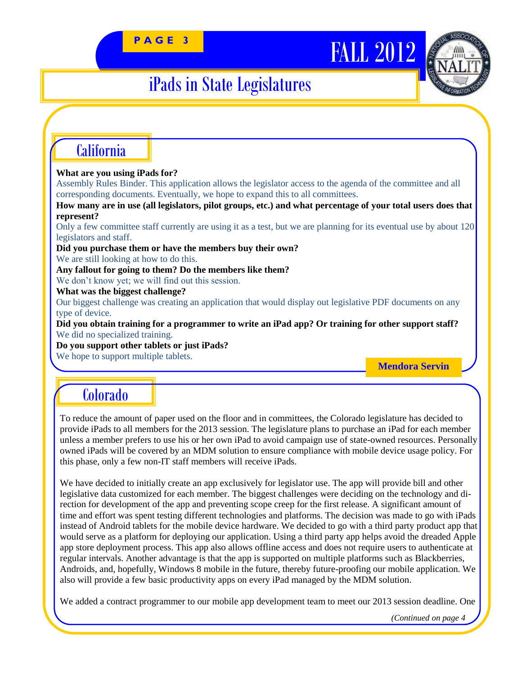# PAGE 3<br> **FALL** 2012



## iPads in State Legislatures

### California

#### **What are you using iPads for?**

Assembly Rules Binder. This application allows the legislator access to the agenda of the committee and all corresponding documents. Eventually, we hope to expand this to all committees.

**How many are in use (all legislators, pilot groups, etc.) and what percentage of your total users does that represent?**

Only a few committee staff currently are using it as a test, but we are planning for its eventual use by about 120 legislators and staff.

**Did you purchase them or have the members buy their own?**

We are still looking at how to do this.

**Any fallout for going to them? Do the members like them?**

We don't know yet; we will find out this session.

**What was the biggest challenge?**

Our biggest challenge was creating an application that would display out legislative PDF documents on any type of device.

**Did you obtain training for a programmer to write an iPad app? Or training for other support staff?** We did no specialized training.

**Do you support other tablets or just iPads?**

We hope to support multiple tablets.

**Mendora Servin**

### Colorado

To reduce the amount of paper used on the floor and in committees, the Colorado legislature has decided to provide iPads to all members for the 2013 session. The legislature plans to purchase an iPad for each member unless a member prefers to use his or her own iPad to avoid campaign use of state-owned resources. Personally owned iPads will be covered by an MDM solution to ensure compliance with mobile device usage policy. For this phase, only a few non-IT staff members will receive iPads.

We have decided to initially create an app exclusively for legislator use. The app will provide bill and other legislative data customized for each member. The biggest challenges were deciding on the technology and direction for development of the app and preventing scope creep for the first release. A significant amount of time and effort was spent testing different technologies and platforms. The decision was made to go with iPads instead of Android tablets for the mobile device hardware. We decided to go with a third party product app that would serve as a platform for deploying our application. Using a third party app helps avoid the dreaded Apple app store deployment process. This app also allows offline access and does not require users to authenticate at regular intervals. Another advantage is that the app is supported on multiple platforms such as Blackberries, Androids, and, hopefully, Windows 8 mobile in the future, thereby future-proofing our mobile application. We also will provide a few basic productivity apps on every iPad managed by the MDM solution.

We added a contract programmer to our mobile app development team to meet our 2013 session deadline. One

*(Continued on page 4*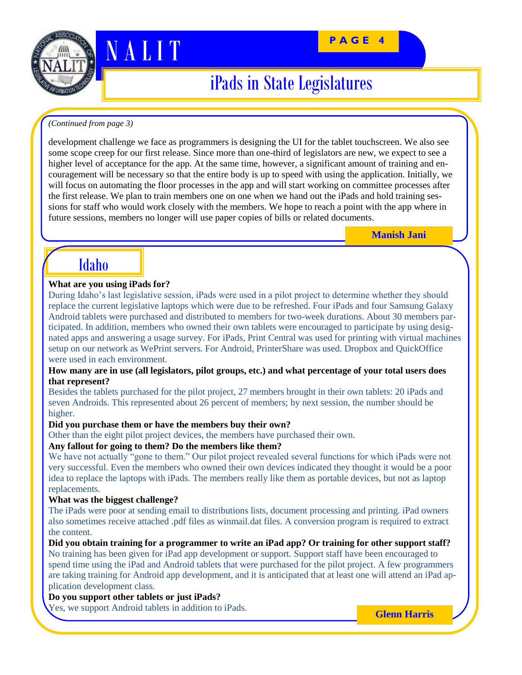



### iPads in State Legislatures

#### *(Continued from page 3)*

N A LITT

development challenge we face as programmers is designing the UI for the tablet touchscreen. We also see some scope creep for our first release. Since more than one-third of legislators are new, we expect to see a higher level of acceptance for the app. At the same time, however, a significant amount of training and encouragement will be necessary so that the entire body is up to speed with using the application. Initially, we will focus on automating the floor processes in the app and will start working on committee processes after the first release. We plan to train members one on one when we hand out the iPads and hold training sessions for staff who would work closely with the members. We hope to reach a point with the app where in future sessions, members no longer will use paper copies of bills or related documents.

**Manish Jani**

### Idaho

#### **What are you using iPads for?**

During Idaho's last legislative session, iPads were used in a pilot project to determine whether they should replace the current legislative laptops which were due to be refreshed. Four iPads and four Samsung Galaxy Android tablets were purchased and distributed to members for two-week durations. About 30 members participated. In addition, members who owned their own tablets were encouraged to participate by using designated apps and answering a usage survey. For iPads, Print Central was used for printing with virtual machines setup on our network as WePrint servers. For Android, PrinterShare was used. Dropbox and QuickOffice were used in each environment.

#### **How many are in use (all legislators, pilot groups, etc.) and what percentage of your total users does that represent?**

Besides the tablets purchased for the pilot project, 27 members brought in their own tablets: 20 iPads and seven Androids. This represented about 26 percent of members; by next session, the number should be higher.

#### **Did you purchase them or have the members buy their own?**

Other than the eight pilot project devices, the members have purchased their own.

#### **Any fallout for going to them? Do the members like them?**

We have not actually "gone to them." Our pilot project revealed several functions for which iPads were not very successful. Even the members who owned their own devices indicated they thought it would be a poor idea to replace the laptops with iPads. The members really like them as portable devices, but not as laptop replacements.

#### **What was the biggest challenge?**

The iPads were poor at sending email to distributions lists, document processing and printing. iPad owners also sometimes receive attached .pdf files as winmail.dat files. A conversion program is required to extract the content.

**Did you obtain training for a programmer to write an iPad app? Or training for other support staff?** No training has been given for iPad app development or support. Support staff have been encouraged to spend time using the iPad and Android tablets that were purchased for the pilot project. A few programmers are taking training for Android app development, and it is anticipated that at least one will attend an iPad application development class.

#### **Do you support other tablets or just iPads?**

Yes, we support Android tablets in addition to iPads.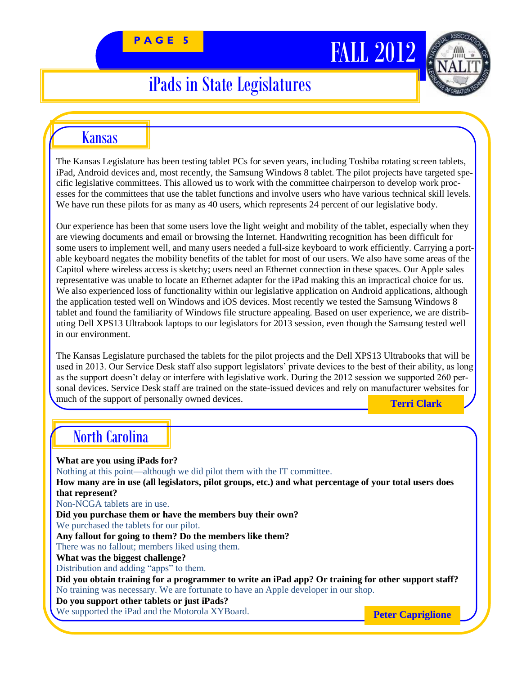# PAGE 5<br> **FALL 2012**



## iPads in State Legislatures

### Kansas

The Kansas Legislature has been testing tablet PCs for seven years, including Toshiba rotating screen tablets, iPad, Android devices and, most recently, the Samsung Windows 8 tablet. The pilot projects have targeted specific legislative committees. This allowed us to work with the committee chairperson to develop work processes for the committees that use the tablet functions and involve users who have various technical skill levels. We have run these pilots for as many as 40 users, which represents 24 percent of our legislative body.

Our experience has been that some users love the light weight and mobility of the tablet, especially when they are viewing documents and email or browsing the Internet. Handwriting recognition has been difficult for some users to implement well, and many users needed a full-size keyboard to work efficiently. Carrying a portable keyboard negates the mobility benefits of the tablet for most of our users. We also have some areas of the Capitol where wireless access is sketchy; users need an Ethernet connection in these spaces. Our Apple sales representative was unable to locate an Ethernet adapter for the iPad making this an impractical choice for us. We also experienced loss of functionality within our legislative application on Android applications, although the application tested well on Windows and iOS devices. Most recently we tested the Samsung Windows 8 tablet and found the familiarity of Windows file structure appealing. Based on user experience, we are distributing Dell XPS13 Ultrabook laptops to our legislators for 2013 session, even though the Samsung tested well in our environment.

The Kansas Legislature purchased the tablets for the pilot projects and the Dell XPS13 Ultrabooks that will be used in 2013. Our Service Desk staff also support legislators' private devices to the best of their ability, as long as the support doesn't delay or interfere with legislative work. During the 2012 session we supported 260 personal devices. Service Desk staff are trained on the state-issued devices and rely on manufacturer websites for much of the support of personally owned devices. **Terri Clark**

### North Carolina

**What are you using iPads for?**  Nothing at this point—although we did pilot them with the IT committee. **How many are in use (all legislators, pilot groups, etc.) and what percentage of your total users does that represent?** Non-NCGA tablets are in use. **Did you purchase them or have the members buy their own?** We purchased the tablets for our pilot. **Any fallout for going to them? Do the members like them?** There was no fallout; members liked using them. **What was the biggest challenge?** Distribution and adding "apps" to them. **Did you obtain training for a programmer to write an iPad app? Or training for other support staff?** No training was necessary. We are fortunate to have an Apple developer in our shop. **Do you support other tablets or just iPads?** We supported the iPad and the Motorola XYBoard. **Peter Capriglione**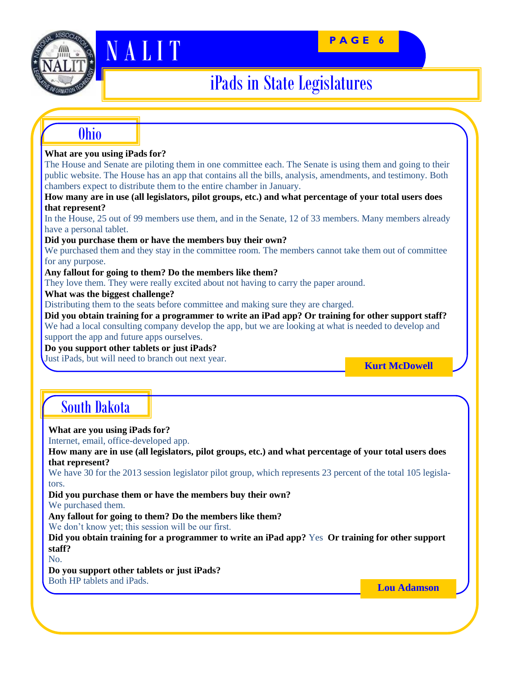#### **P A G E 6**



# N A J I T

## iPads in State Legislatures

### Ohio

#### **What are you using iPads for?**

The House and Senate are piloting them in one committee each. The Senate is using them and going to their public website. The House has an app that contains all the bills, analysis, amendments, and testimony. Both chambers expect to distribute them to the entire chamber in January.

**How many are in use (all legislators, pilot groups, etc.) and what percentage of your total users does that represent?**

In the House, 25 out of 99 members use them, and in the Senate, 12 of 33 members. Many members already have a personal tablet.

**Did you purchase them or have the members buy their own?**

We purchased them and they stay in the committee room. The members cannot take them out of committee for any purpose.

**Any fallout for going to them? Do the members like them?**

They love them. They were really excited about not having to carry the paper around.

**What was the biggest challenge?**

Distributing them to the seats before committee and making sure they are charged.

**Did you obtain training for a programmer to write an iPad app? Or training for other support staff?** We had a local consulting company develop the app, but we are looking at what is needed to develop and support the app and future apps ourselves.

**Do you support other tablets or just iPads?**

Just iPads, but will need to branch out next year.

**Kurt McDowell**

### South Dakota

#### **What are you using iPads for?**

Internet, email, office-developed app.

**How many are in use (all legislators, pilot groups, etc.) and what percentage of your total users does that represent?**

We have 30 for the 2013 session legislator pilot group, which represents 23 percent of the total 105 legislators.

**Did you purchase them or have the members buy their own?** We purchased them.

**Any fallout for going to them? Do the members like them?**

We don't know yet; this session will be our first.

**Did you obtain training for a programmer to write an iPad app?** Yes **Or training for other support staff?**

No.

**Do you support other tablets or just iPads?**

Both HP tablets and iPads.

**Lou Adamson**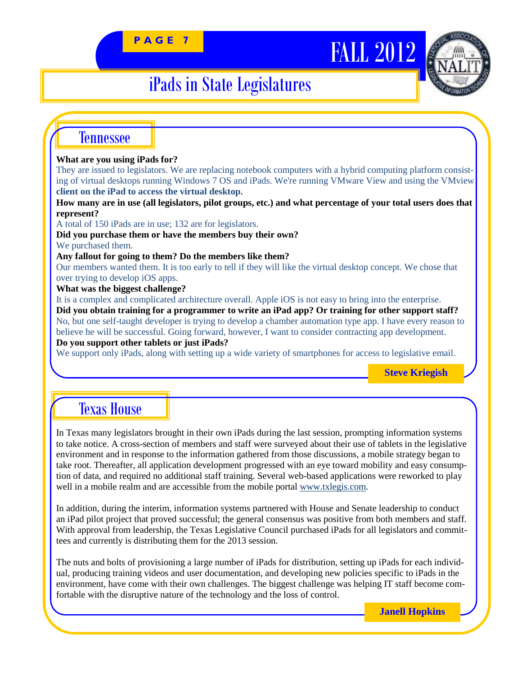# PAGE 7 **FALL 2012**



## iPads in State Legislatures

### Tennessee

#### **What are you using iPads for?**

They are issued to legislators. We are replacing notebook computers with a hybrid computing platform consisting of virtual desktops running Windows 7 OS and iPads. We're running VMware View and using the VMview **client on the iPad to access the virtual desktop.**

**How many are in use (all legislators, pilot groups, etc.) and what percentage of your total users does that represent?**

A total of 150 iPads are in use; 132 are for legislators.

**Did you purchase them or have the members buy their own?**

We purchased them.

**Any fallout for going to them? Do the members like them?**

Our members wanted them. It is too early to tell if they will like the virtual desktop concept. We chose that over trying to develop iOS apps.

**What was the biggest challenge?**

It is a complex and complicated architecture overall. Apple iOS is not easy to bring into the enterprise. **Did you obtain training for a programmer to write an iPad app? Or training for other support staff?** No, but one self-taught developer is trying to develop a chamber automation type app. I have every reason to believe he will be successful. Going forward, however, I want to consider contracting app development. **Do you support other tablets or just iPads?**

We support only iPads, along with setting up a wide variety of smartphones for access to legislative email.

**Steve Kriegish**

### Texas House

In Texas many legislators brought in their own iPads during the last session, prompting information systems to take notice. A cross-section of members and staff were surveyed about their use of tablets in the legislative environment and in response to the information gathered from those discussions, a mobile strategy began to take root. Thereafter, all application development progressed with an eye toward mobility and easy consumption of data, and required no additional staff training. Several web-based applications were reworked to play well in a mobile realm and are accessible from the mobile portal [www.txlegis.com.](http://www.txlegis.com)

In addition, during the interim, information systems partnered with House and Senate leadership to conduct an iPad pilot project that proved successful; the general consensus was positive from both members and staff. With approval from leadership, the Texas Legislative Council purchased iPads for all legislators and committees and currently is distributing them for the 2013 session.

The nuts and bolts of provisioning a large number of iPads for distribution, setting up iPads for each individual, producing training videos and user documentation, and developing new policies specific to iPads in the environment, have come with their own challenges. The biggest challenge was helping IT staff become comfortable with the disruptive nature of the technology and the loss of control.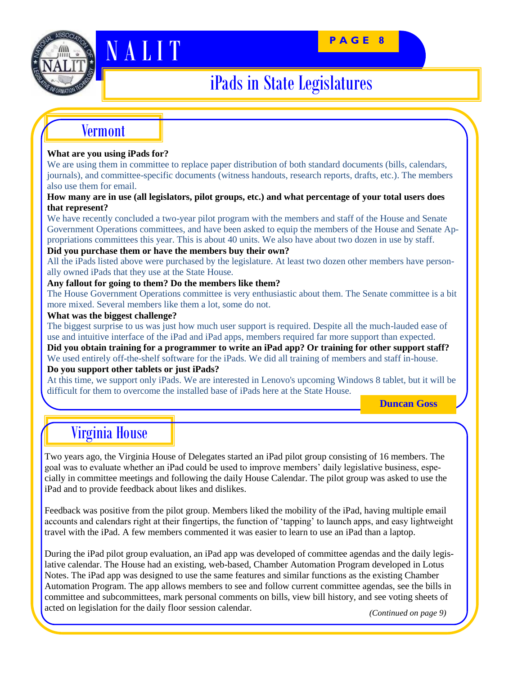

# **N A L I T PAGE 8**

## iPads in State Legislatures

### Vermont

#### **What are you using iPads for?**

We are using them in committee to replace paper distribution of both standard documents (bills, calendars, journals), and committee-specific documents (witness handouts, research reports, drafts, etc.). The members also use them for email.

#### **How many are in use (all legislators, pilot groups, etc.) and what percentage of your total users does that represent?**

We have recently concluded a two-year pilot program with the members and staff of the House and Senate Government Operations committees, and have been asked to equip the members of the House and Senate Appropriations committees this year. This is about 40 units. We also have about two dozen in use by staff.

#### **Did you purchase them or have the members buy their own?**

All the iPads listed above were purchased by the legislature. At least two dozen other members have personally owned iPads that they use at the State House.

#### **Any fallout for going to them? Do the members like them?**

The House Government Operations committee is very enthusiastic about them. The Senate committee is a bit more mixed. Several members like them a lot, some do not.

#### **What was the biggest challenge?**

The biggest surprise to us was just how much user support is required. Despite all the much-lauded ease of use and intuitive interface of the iPad and iPad apps, members required far more support than expected.

**Did you obtain training for a programmer to write an iPad app? Or training for other support staff?** We used entirely off-the-shelf software for the iPads. We did all training of members and staff in-house. **Do you support other tablets or just iPads?**

At this time, we support only iPads. We are interested in Lenovo's upcoming Windows 8 tablet, but it will be difficult for them to overcome the installed base of iPads here at the State House.

**Duncan Goss**

### Virginia House

Two years ago, the Virginia House of Delegates started an iPad pilot group consisting of 16 members. The goal was to evaluate whether an iPad could be used to improve members' daily legislative business, especially in committee meetings and following the daily House Calendar. The pilot group was asked to use the iPad and to provide feedback about likes and dislikes.

Feedback was positive from the pilot group. Members liked the mobility of the iPad, having multiple email accounts and calendars right at their fingertips, the function of 'tapping' to launch apps, and easy lightweight travel with the iPad. A few members commented it was easier to learn to use an iPad than a laptop.

During the iPad pilot group evaluation, an iPad app was developed of committee agendas and the daily legislative calendar. The House had an existing, web-based, Chamber Automation Program developed in Lotus Notes. The iPad app was designed to use the same features and similar functions as the existing Chamber Automation Program. The app allows members to see and follow current committee agendas, see the bills in committee and subcommittees, mark personal comments on bills, view bill history, and see voting sheets of acted on legislation for the daily floor session calendar.

*(Continued on page 9)*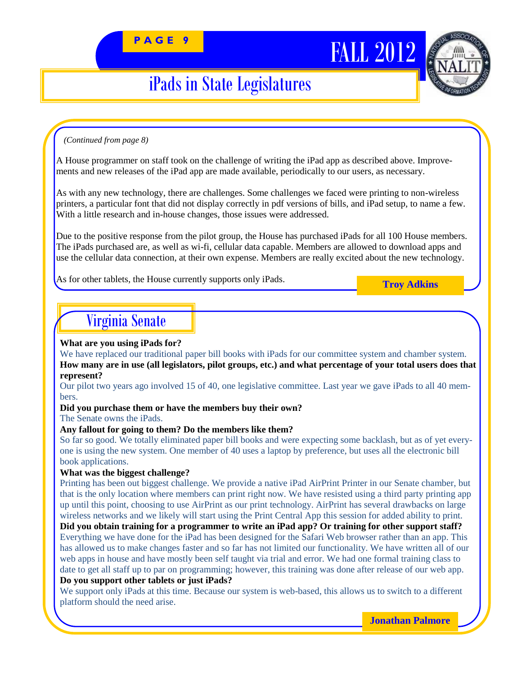## iPads in State Legislatures

#### *(Continued from page 8)*

A House programmer on staff took on the challenge of writing the iPad app as described above. Improvements and new releases of the iPad app are made available, periodically to our users, as necessary.

As with any new technology, there are challenges. Some challenges we faced were printing to non-wireless printers, a particular font that did not display correctly in pdf versions of bills, and iPad setup, to name a few. With a little research and in-house changes, those issues were addressed.

Due to the positive response from the pilot group, the House has purchased iPads for all 100 House members. The iPads purchased are, as well as wi-fi, cellular data capable. Members are allowed to download apps and use the cellular data connection, at their own expense. Members are really excited about the new technology.

As for other tablets, the House currently supports only iPads.

**Troy Adkins**

### Virginia Senate

#### **What are you using iPads for?**

We have replaced our traditional paper bill books with iPads for our committee system and chamber system. **How many are in use (all legislators, pilot groups, etc.) and what percentage of your total users does that represent?**

Our pilot two years ago involved 15 of 40, one legislative committee. Last year we gave iPads to all 40 members.

#### **Did you purchase them or have the members buy their own?**

The Senate owns the iPads.

#### **Any fallout for going to them? Do the members like them?**

So far so good. We totally eliminated paper bill books and were expecting some backlash, but as of yet everyone is using the new system. One member of 40 uses a laptop by preference, but uses all the electronic bill book applications.

#### **What was the biggest challenge?**

Printing has been out biggest challenge. We provide a native iPad AirPrint Printer in our Senate chamber, but that is the only location where members can print right now. We have resisted using a third party printing app up until this point, choosing to use AirPrint as our print technology. AirPrint has several drawbacks on large wireless networks and we likely will start using the Print Central App this session for added ability to print.

**Did you obtain training for a programmer to write an iPad app? Or training for other support staff?** Everything we have done for the iPad has been designed for the Safari Web browser rather than an app. This has allowed us to make changes faster and so far has not limited our functionality. We have written all of our web apps in house and have mostly been self taught via trial and error. We had one formal training class to date to get all staff up to par on programming; however, this training was done after release of our web app. **Do you support other tablets or just iPads?**

We support only iPads at this time. Because our system is web-based, this allows us to switch to a different platform should the need arise.

**Jonathan Palmore**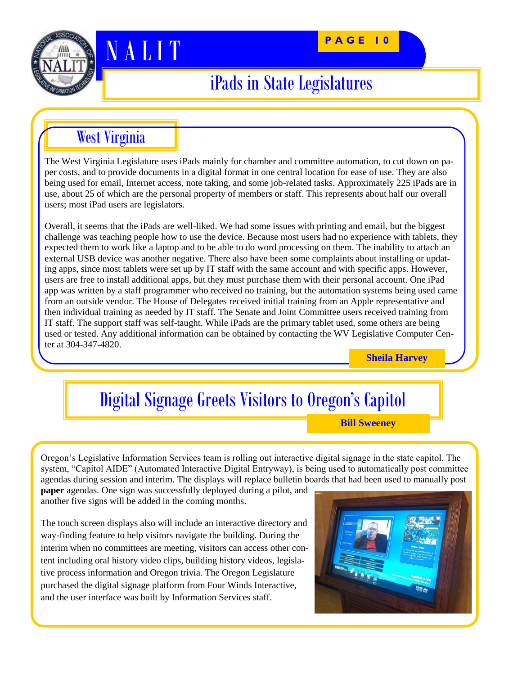

# **N A L I T PAGE 10**

## iPads in State Legislatures

West Virginia

The West Virginia Legislature uses iPads mainly for chamber and committee automation, to cut down on paper costs, and to provide documents in a digital format in one central location for ease of use. They are also being used for email, Internet access, note taking, and some job-related tasks. Approximately 225 iPads are in use, about 25 of which are the personal property of members or staff. This represents about half our overall users; most iPad users are legislators.

Overall, it seems that the iPads are well-liked. We had some issues with printing and email, but the biggest challenge was teaching people how to use the device. Because most users had no experience with tablets, they expected them to work like a laptop and to be able to do word processing on them. The inability to attach an external USB device was another negative. There also have been some complaints about installing or updating apps, since most tablets were set up by IT staff with the same account and with specific apps. However, users are free to install additional apps, but they must purchase them with their personal account. One iPad app was written by a staff programmer who received no training, but the automation systems being used came from an outside vendor. The House of Delegates received initial training from an Apple representative and then individual training as needed by IT staff. The Senate and Joint Committee users received training from IT staff. The support staff was self-taught. While iPads are the primary tablet used, some others are being used or tested. Any additional information can be obtained by contacting the WV Legislative Computer Center at 304-347-4820.

**Sheila Harvey**

## Digital Signage Greets Visitors to Oregon's Capitol

**Bill Sweeney**

Oregon's Legislative Information Services team is rolling out interactive digital signage in the state capitol. The system, "Capitol AIDE" (Automated Interactive Digital Entryway), is being used to automatically post committee agendas during session and interim. The displays will replace bulletin boards that had been used to manually post

**paper** agendas. One sign was successfully deployed during a pilot, and another five signs will be added in the coming months.

The touch screen displays also will include an interactive directory and way-finding feature to help visitors navigate the building. During the interim when no committees are meeting, visitors can access other content including oral history video clips, building history videos, legislative process information and Oregon trivia. The Oregon Legislature purchased the digital signage platform from Four Winds Interactive, and the user interface was built by Information Services staff.

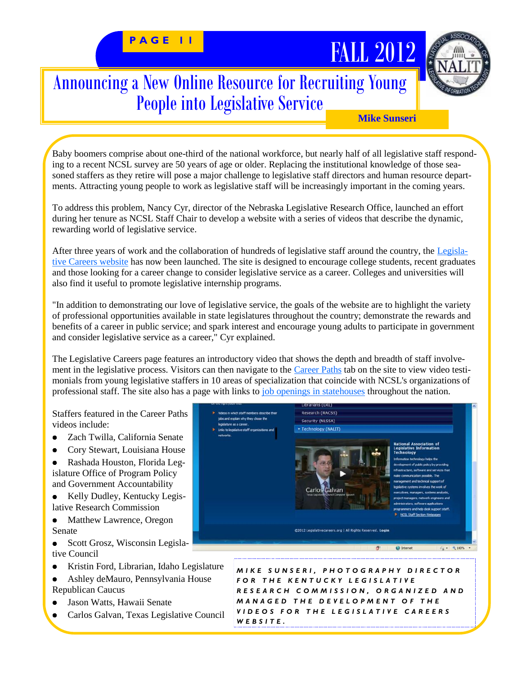# PAGE 11 **FALL** 2012

### Announcing a New Online Resource for Recruiting Young People into Legislative Service



**Mike Sunseri**

Baby boomers comprise about one-third of the national workforce, but nearly half of all legislative staff responding to a recent NCSL survey are 50 years of age or older. Replacing the institutional knowledge of those seasoned staffers as they retire will pose a major challenge to legislative staff directors and human resource departments. Attracting young people to work as legislative staff will be increasingly important in the coming years.

To address this problem, Nancy Cyr, director of the Nebraska Legislative Research Office, launched an effort during her tenure as NCSL Staff Chair to develop a website with a series of videos that describe the dynamic, rewarding world of legislative service.

After three years of work and the collaboration of hundreds of legislative staff around the country, the [Legisla](http://www.legislativecareers.org)[tive Careers website](http://www.legislativecareers.org) has now been launched. The site is designed to encourage college students, recent graduates and those looking for a career change to consider legislative service as a career. Colleges and universities will also find it useful to promote legislative internship programs.

"In addition to demonstrating our love of legislative service, the goals of the website are to highlight the variety of professional opportunities available in state legislatures throughout the country; demonstrate the rewards and benefits of a career in public service; and spark interest and encourage young adults to participate in government and consider legislative service as a career," Cyr explained.

The Legislative Careers page features an introductory video that shows the depth and breadth of staff involve-ment in the legislative process. Visitors can then navigate to the [Career Paths](http://www.legislativecareers.org/CareerPaths.aspx) tab on the site to view video testimonials from young legislative staffers in 10 areas of specialization that coincide with NCSL's organizations of professional staff. The site also has a page with links to [job openings in statehouses](http://www.legislativecareers.org/legislativejob.aspx) throughout the nation.

Staffers featured in the Career Paths videos include:

- Zach Twilla, California Senate  $\bullet$
- Cory Stewart, Louisiana House  $\bullet$

 $\bullet$ Rashada Houston, Florida Legislature Office of Program Policy and Government Accountability

Kelly Dudley, Kentucky Legis- $\bullet$ lative Research Commission

 $\bullet$ Matthew Lawrence, Oregon Senate

 $\bullet$ Scott Grosz, Wisconsin Legislative Council

- Kristin Ford, Librarian, Idaho Legislature  $\bullet$
- Ashley deMauro, Pennsylvania House  $\bullet$ Republican Caucus
- Jason Watts, Hawaii Senate  $\bullet$
- Carlos Galvan, Texas Legislative Council



*M I K E S U N S E R I , P H O T O G R A P H Y D I R E C T O R F O R T H E K E N T U C K Y L E G I S L A T I V E R E S E A R C H C O M M I S S I O N , O R G A N I Z E D A N D M A N A G E D T H E D E V E L O P M E N T O F T H E V I D E O S F O R T H E L E G I S L A T I V E C A R E E R S W E B S I T E .*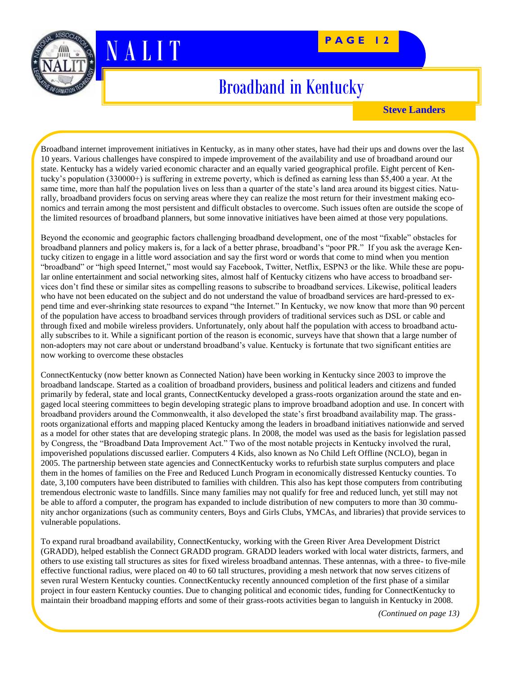



N A LITT

## Broadband in Kentucky

**Steve Landers**

Broadband internet improvement initiatives in Kentucky, as in many other states, have had their ups and downs over the last 10 years. Various challenges have conspired to impede improvement of the availability and use of broadband around our state. Kentucky has a widely varied economic character and an equally varied geographical profile. Eight percent of Kentucky's population (330000+) is suffering in extreme poverty, which is defined as earning less than \$5,400 a year. At the same time, more than half the population lives on less than a quarter of the state's land area around its biggest cities. Naturally, broadband providers focus on serving areas where they can realize the most return for their investment making economics and terrain among the most persistent and difficult obstacles to overcome. Such issues often are outside the scope of the limited resources of broadband planners, but some innovative initiatives have been aimed at those very populations.

Beyond the economic and geographic factors challenging broadband development, one of the most "fixable" obstacles for broadband planners and policy makers is, for a lack of a better phrase, broadband's "poor PR." If you ask the average Kentucky citizen to engage in a little word association and say the first word or words that come to mind when you mention "broadband" or "high speed Internet," most would say Facebook, Twitter, Netflix, ESPN3 or the like. While these are popular online entertainment and social networking sites, almost half of Kentucky citizens who have access to broadband services don't find these or similar sites as compelling reasons to subscribe to broadband services. Likewise, political leaders who have not been educated on the subject and do not understand the value of broadband services are hard-pressed to expend time and ever-shrinking state resources to expand "the Internet." In Kentucky, we now know that more than 90 percent of the population have access to broadband services through providers of traditional services such as DSL or cable and through fixed and mobile wireless providers. Unfortunately, only about half the population with access to broadband actually subscribes to it. While a significant portion of the reason is economic, surveys have that shown that a large number of non-adopters may not care about or understand broadband's value. Kentucky is fortunate that two significant entities are now working to overcome these obstacles

ConnectKentucky (now better known as Connected Nation) have been working in Kentucky since 2003 to improve the broadband landscape. Started as a coalition of broadband providers, business and political leaders and citizens and funded primarily by federal, state and local grants, ConnectKentucky developed a grass-roots organization around the state and engaged local steering committees to begin developing strategic plans to improve broadband adoption and use. In concert with broadband providers around the Commonwealth, it also developed the state's first broadband availability map. The grassroots organizational efforts and mapping placed Kentucky among the leaders in broadband initiatives nationwide and served as a model for other states that are developing strategic plans. In 2008, the model was used as the basis for legislation passed by Congress, the "Broadband Data Improvement Act." Two of the most notable projects in Kentucky involved the rural, impoverished populations discussed earlier. Computers 4 Kids, also known as No Child Left Offline (NCLO), began in 2005. The partnership between state agencies and ConnectKentucky works to refurbish state surplus computers and place them in the homes of families on the Free and Reduced Lunch Program in economically distressed Kentucky counties. To date, 3,100 computers have been distributed to families with children. This also has kept those computers from contributing tremendous electronic waste to landfills. Since many families may not qualify for free and reduced lunch, yet still may not be able to afford a computer, the program has expanded to include distribution of new computers to more than 30 community anchor organizations (such as community centers, Boys and Girls Clubs, YMCAs, and libraries) that provide services to vulnerable populations.

To expand rural broadband availability, ConnectKentucky, working with the Green River Area Development District (GRADD), helped establish the Connect GRADD program. GRADD leaders worked with local water districts, farmers, and others to use existing tall structures as sites for fixed wireless broadband antennas. These antennas, with a three- to five-mile effective functional radius, were placed on 40 to 60 tall structures, providing a mesh network that now serves citizens of seven rural Western Kentucky counties. ConnectKentucky recently announced completion of the first phase of a similar project in four eastern Kentucky counties. Due to changing political and economic tides, funding for ConnectKentucky to maintain their broadband mapping efforts and some of their grass-roots activities began to languish in Kentucky in 2008.

*(Continued on page 13)*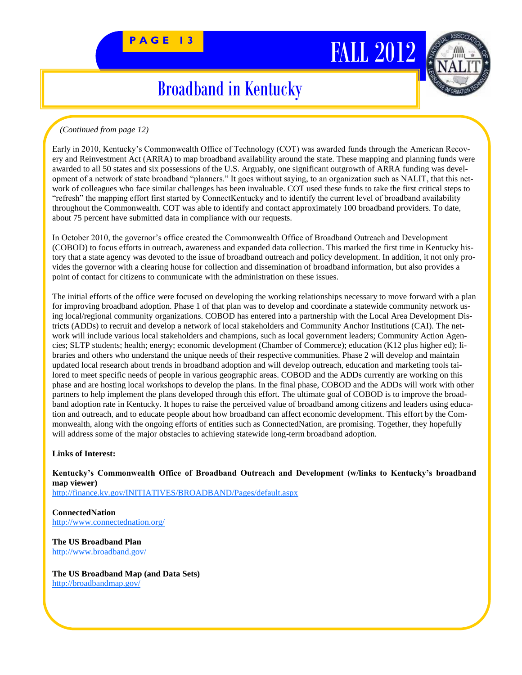# PAGE 13<sup>2</sup> FALL 2012



## Broadband in Kentucky

#### *(Continued from page 12)*

Early in 2010, Kentucky's Commonwealth Office of Technology (COT) was awarded funds through the American Recovery and Reinvestment Act (ARRA) to map broadband availability around the state. These mapping and planning funds were awarded to all 50 states and six possessions of the U.S. Arguably, one significant outgrowth of ARRA funding was development of a network of state broadband "planners." It goes without saying, to an organization such as NALIT, that this network of colleagues who face similar challenges has been invaluable. COT used these funds to take the first critical steps to ―refresh‖ the mapping effort first started by ConnectKentucky and to identify the current level of broadband availability throughout the Commonwealth. COT was able to identify and contact approximately 100 broadband providers. To date, about 75 percent have submitted data in compliance with our requests.

In October 2010, the governor's office created the Commonwealth Office of Broadband Outreach and Development (COBOD) to focus efforts in outreach, awareness and expanded data collection. This marked the first time in Kentucky history that a state agency was devoted to the issue of broadband outreach and policy development. In addition, it not only provides the governor with a clearing house for collection and dissemination of broadband information, but also provides a point of contact for citizens to communicate with the administration on these issues.

The initial efforts of the office were focused on developing the working relationships necessary to move forward with a plan for improving broadband adoption. Phase 1 of that plan was to develop and coordinate a statewide community network using local/regional community organizations. COBOD has entered into a partnership with the Local Area Development Districts (ADDs) to recruit and develop a network of local stakeholders and Community Anchor Institutions (CAI). The network will include various local stakeholders and champions, such as local government leaders; Community Action Agencies; SLTP students; health; energy; economic development (Chamber of Commerce); education (K12 plus higher ed); libraries and others who understand the unique needs of their respective communities. Phase 2 will develop and maintain updated local research about trends in broadband adoption and will develop outreach, education and marketing tools tailored to meet specific needs of people in various geographic areas. COBOD and the ADDs currently are working on this phase and are hosting local workshops to develop the plans. In the final phase, COBOD and the ADDs will work with other partners to help implement the plans developed through this effort. The ultimate goal of COBOD is to improve the broadband adoption rate in Kentucky. It hopes to raise the perceived value of broadband among citizens and leaders using education and outreach, and to educate people about how broadband can affect economic development. This effort by the Commonwealth, along with the ongoing efforts of entities such as ConnectedNation, are promising. Together, they hopefully will address some of the major obstacles to achieving statewide long-term broadband adoption.

#### **Links of Interest:**

**Kentucky's Commonwealth Office of Broadband Outreach and Development (w/links to Kentucky's broadband map viewer)** <http://finance.ky.gov/INITIATIVES/BROADBAND/Pages/default.aspx>

**ConnectedNation** <http://www.connectednation.org/>

**The US Broadband Plan** <http://www.broadband.gov/>

**The US Broadband Map (and Data Sets)** <http://broadbandmap.gov/>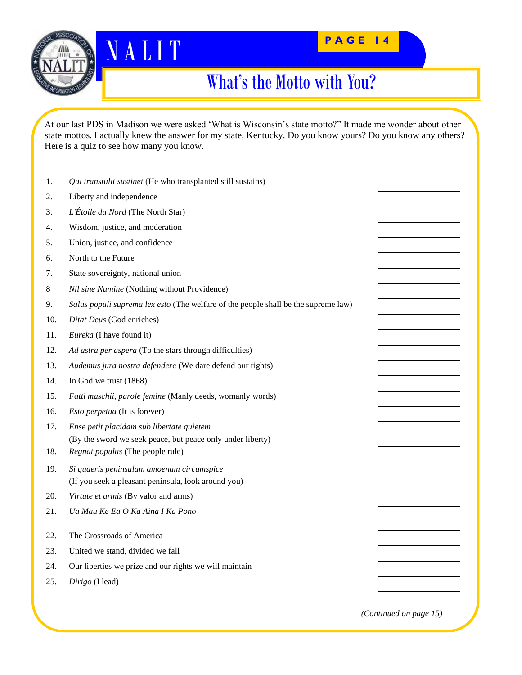



### What's the Motto with You?

At our last PDS in Madison we were asked 'What is Wisconsin's state motto?" It made me wonder about other state mottos. I actually knew the answer for my state, Kentucky. Do you know yours? Do you know any others? Here is a quiz to see how many you know.

| 1.  | Qui transtulit sustinet (He who transplanted still sustains)                       |  |
|-----|------------------------------------------------------------------------------------|--|
| 2.  | Liberty and independence                                                           |  |
| 3.  | L'Étoile du Nord (The North Star)                                                  |  |
| 4.  | Wisdom, justice, and moderation                                                    |  |
| 5.  | Union, justice, and confidence                                                     |  |
| 6.  | North to the Future                                                                |  |
| 7.  | State sovereignty, national union                                                  |  |
| 8   | Nil sine Numine (Nothing without Providence)                                       |  |
| 9.  | Salus populi suprema lex esto (The welfare of the people shall be the supreme law) |  |
| 10. | Ditat Deus (God enriches)                                                          |  |
| 11. | Eureka (I have found it)                                                           |  |
| 12. | Ad astra per aspera (To the stars through difficulties)                            |  |
| 13. | Audemus jura nostra defendere (We dare defend our rights)                          |  |
| 14. | In God we trust (1868)                                                             |  |
| 15. | Fatti maschii, parole femine (Manly deeds, womanly words)                          |  |
| 16. | Esto perpetua (It is forever)                                                      |  |
| 17. | Ense petit placidam sub libertate quietem                                          |  |
|     | (By the sword we seek peace, but peace only under liberty)                         |  |
| 18. | Regnat populus (The people rule)                                                   |  |
| 19. | Si quaeris peninsulam amoenam circumspice                                          |  |
|     | (If you seek a pleasant peninsula, look around you)                                |  |
| 20. | Virtute et armis (By valor and arms)                                               |  |
| 21. | Ua Mau Ke Ea O Ka Aina I Ka Pono                                                   |  |
| 22. | The Crossroads of America                                                          |  |
| 23. | United we stand, divided we fall                                                   |  |
| 24. | Our liberties we prize and our rights we will maintain                             |  |
| 25. | Dirigo (I lead)                                                                    |  |
|     |                                                                                    |  |
|     |                                                                                    |  |

*(Continued on page 15)*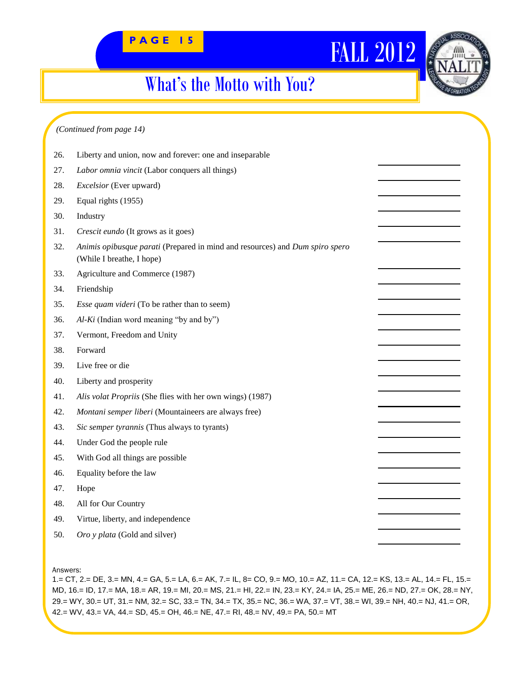## What's the Motto with You?

#### *(Continued from page 14)*

| 26. | Liberty and union, now and forever: one and inseparable                                                   |  |
|-----|-----------------------------------------------------------------------------------------------------------|--|
| 27. | Labor omnia vincit (Labor conquers all things)                                                            |  |
| 28. | Excelsior (Ever upward)                                                                                   |  |
| 29. | Equal rights (1955)                                                                                       |  |
| 30. | Industry                                                                                                  |  |
| 31. | Crescit eundo (It grows as it goes)                                                                       |  |
| 32. | Animis opibusque parati (Prepared in mind and resources) and Dum spiro spero<br>(While I breathe, I hope) |  |
| 33. | Agriculture and Commerce (1987)                                                                           |  |
| 34. | Friendship                                                                                                |  |
| 35. | <i>Esse quam videri</i> (To be rather than to seem)                                                       |  |
| 36. | $Al-Ki$ (Indian word meaning "by and by")                                                                 |  |
| 37. | Vermont, Freedom and Unity                                                                                |  |
| 38. | Forward                                                                                                   |  |
| 39. | Live free or die                                                                                          |  |
| 40. | Liberty and prosperity                                                                                    |  |
| 41. | Alis volat Propriis (She flies with her own wings) (1987)                                                 |  |
| 42. | Montani semper liberi (Mountaineers are always free)                                                      |  |
| 43. | Sic semper tyrannis (Thus always to tyrants)                                                              |  |
| 44. | Under God the people rule                                                                                 |  |
| 45. | With God all things are possible                                                                          |  |
| 46. | Equality before the law                                                                                   |  |
| 47. | Hope                                                                                                      |  |
| 48. | All for Our Country                                                                                       |  |
| 49. | Virtue, liberty, and independence                                                                         |  |
| 50. | Oro y plata (Gold and silver)                                                                             |  |
|     |                                                                                                           |  |

Answers:

1.= CT, 2.= DE, 3.= MN, 4.= GA, 5.= LA, 6.= AK, 7.= IL, 8= CO, 9.= MO, 10.= AZ, 11.= CA, 12.= KS, 13.= AL, 14.= FL, 15.= MD, 16.= ID, 17.= MA, 18.= AR, 19.= MI, 20.= MS, 21.= HI, 22.= IN, 23.= KY, 24.= IA, 25.= ME, 26.= ND, 27.= OK, 28.= NY, 29.= WY, 30.= UT, 31.= NM, 32.= SC, 33.= TN, 34.= TX, 35.= NC, 36.= WA, 37.= VT, 38.= WI, 39.= NH, 40.= NJ, 41.= OR, 42.= WV, 43.= VA, 44.= SD, 45.= OH, 46.= NE, 47.= RI, 48.= NV, 49.= PA, 50.= MT